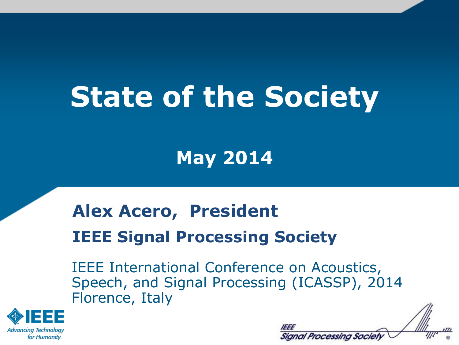# **State of the Society**

**May 2014**

#### **Alex Acero, President IEEE Signal Processing Society**

IEEE International Conference on Acoustics, Speech, and Signal Processing (ICASSP), 2014 Florence, Italy



| Signal Processing Society |  |
|---------------------------|--|

 $\overline{\mathcal{M}}$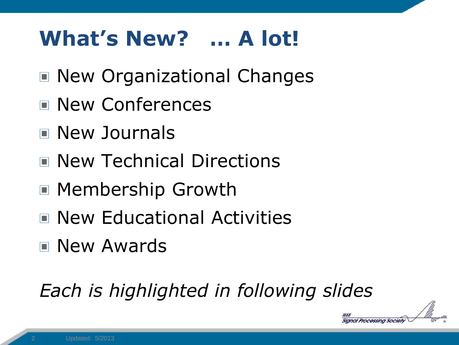## **What's New? … A lot!**

- New Organizational Changes
- New Conferences
- New Journals
- New Technical Directions
- Membership Growth
- New Educational Activities
- New Awards

#### *Each is highlighted in following slides*

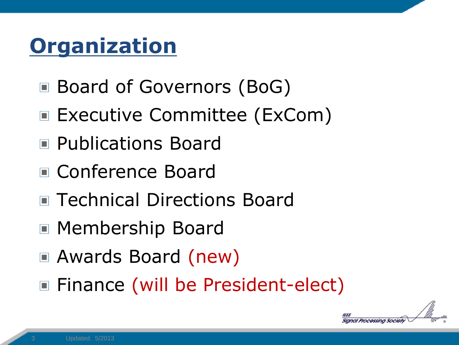## **Organization**

- Board of Governors (BoG)
- Executive Committee (ExCom)
- **Publications Board**
- Conference Board
- Technical Directions Board
- Membership Board
- Awards Board (new)
- Finance (will be President-elect)

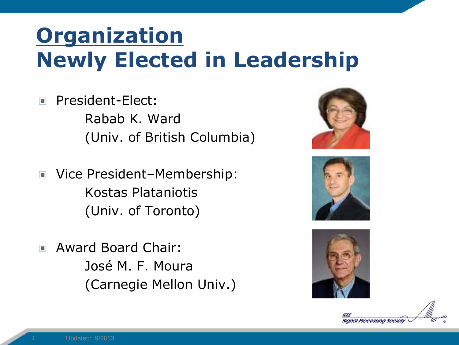## **Organization Newly Elected in Leadership**

- President-Elect:  $\Box$ Rabab K. Ward (Univ. of British Columbia)
- Vice President–Membership:  $\Box$ Kostas Plataniotis (Univ. of Toronto)
- Award Board Chair:  $\Box$ José M. F. Moura (Carnegie Mellon Univ.)







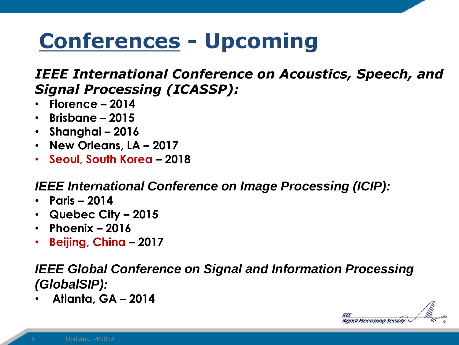## **Conferences - Upcoming**

#### *IEEE International Conference on Acoustics, Speech, and Signal Processing (ICASSP):*

- **Florence – 2014**
- **Brisbane – 2015**
- **Shanghai – 2016**
- **New Orleans, LA – 2017**
- **Seoul, South Korea – 2018**

#### *IEEE International Conference on Image Processing (ICIP):*

- **Paris – 2014**
- **Quebec City – 2015**
- **Phoenix – 2016**
- **Beijing, China – 2017**

#### *IEEE Global Conference on Signal and Information Processing (GlobalSIP):*

• **Atlanta, GA – 2014**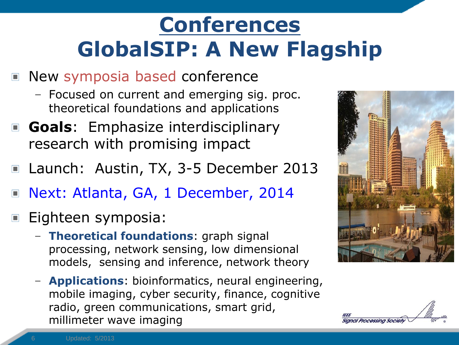# **Conferences GlobalSIP: A New Flagship**

- New symposia based conference
	- Focused on current and emerging sig. proc. theoretical foundations and applications
- **Goals:** Emphasize interdisciplinary research with promising impact
- Launch: Austin, TX, 3-5 December 2013
- Next: Atlanta, GA, 1 December, 2014  $\Box$
- Eighteen symposia:
	- **Theoretical foundations**: graph signal processing, network sensing, low dimensional models, sensing and inference, network theory
	- **Applications**: bioinformatics, neural engineering, mobile imaging, cyber security, finance, cognitive radio, green communications, smart grid, millimeter wave imaging



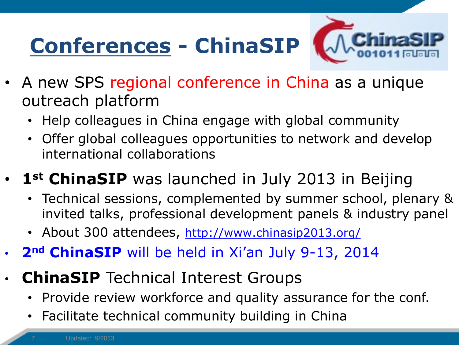# **Conferences - ChinaSIP**



- A new SPS regional conference in China as a unique outreach platform
	- Help colleagues in China engage with global community
	- Offer global colleagues opportunities to network and develop international collaborations

#### 1<sup>st</sup> ChinaSIP was launched in July 2013 in Beijing

- Technical sessions, complemented by summer school, plenary & invited talks, professional development panels & industry panel
- About 300 attendees, <http://www.chinasip2013.org/>
- **2nd ChinaSIP** will be held in Xi'an July 9-13, 2014
- **ChinaSIP** Technical Interest Groups
	- Provide review workforce and quality assurance for the conf.
	- Facilitate technical community building in China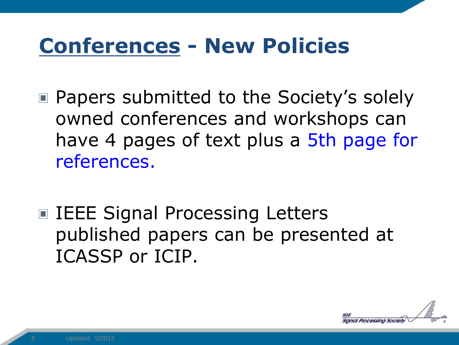### **Conferences - New Policies**

- Papers submitted to the Society's solely owned conferences and workshops can have 4 pages of text plus a 5th page for references.
- IEEE Signal Processing Letters published papers can be presented at ICASSP or ICIP.

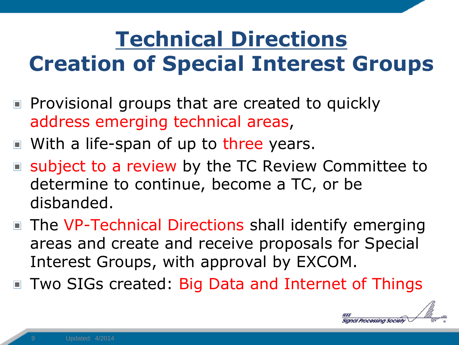# **Technical Directions Creation of Special Interest Groups**

- $\blacksquare$  Provisional groups that are created to quickly address emerging technical areas,
- With a life-span of up to three years.
- subject to a review by the TC Review Committee to determine to continue, become a TC, or be disbanded.
- The VP-Technical Directions shall identify emerging areas and create and receive proposals for Special Interest Groups, with approval by EXCOM.
- Two SIGs created: Big Data and Internet of Things

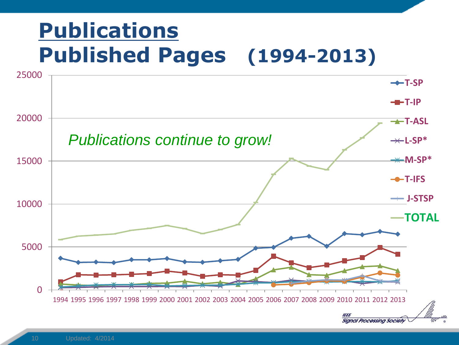## **Publications Published Pages (1994-2013)**

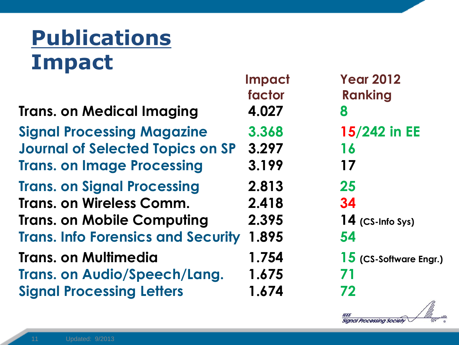# **Publications Impact**

|                                           | factor | Rai |
|-------------------------------------------|--------|-----|
| <b>Trans. on Medical Imaging</b>          | 4.027  | 8   |
| <b>Signal Processing Magazine</b>         | 3.368  | 15/ |
| <b>Journal of Selected Topics on SP</b>   | 3.297  | 16  |
| <b>Trans. on Image Processing</b>         | 3.199  | 17  |
| <b>Trans. on Signal Processing</b>        | 2.813  | 25  |
| <b>Trans. on Wireless Comm.</b>           | 2.418  | 34  |
| <b>Trans. on Mobile Computing</b>         | 2.395  | 14  |
| <b>Trans. Info Forensics and Security</b> | 1.895  | 54  |
| <b>Trans. on Multimedia</b>               | 1.754  | 15  |
| <b>Trans. on Audio/Speech/Lang.</b>       | 1.675  | 71  |
| <b>Signal Processing Letters</b>          | 1.674  | 72  |
|                                           |        |     |

 **Impact Year 2012 Ranking Signal Processing Magazine 3.368 15/242 in EE Trans. on Mobile Computing 2.395 14 (CS-Info Sys) 15** (CS-Software Engr.)

**IEEE** 

**Signal Processing Society**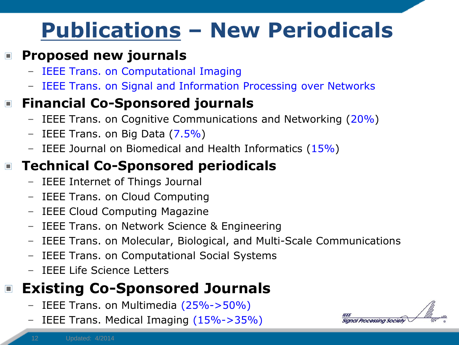# **Publications – New Periodicals**

#### **Proposed new journals**  $\Box$

- IEEE Trans. on Computational Imaging
- IEEE Trans. on Signal and Information Processing over Networks

#### **Financial Co-Sponsored journals**

- IEEE Trans. on Cognitive Communications and Networking  $(20\%)$
- IEEE Trans. on Big Data  $(7.5\%)$
- IEEE Journal on Biomedical and Health Informatics  $(15%)$

#### **Technical Co-Sponsored periodicals**  $\Box$

- IEEE Internet of Things Journal
- IEEE Trans. on Cloud Computing
- IEEE Cloud Computing Magazine
- IEEE Trans. on Network Science & Engineering
- IEEE Trans. on Molecular, Biological, and Multi-Scale Communications
- IEEE Trans. on Computational Social Systems
- IEEE Life Science Letters

#### **Existing Co-Sponsored Journals**  $\Box$

- IEEE Trans. on Multimedia (25%->50%)
- IEEE Trans. Medical Imaging (15%->35%)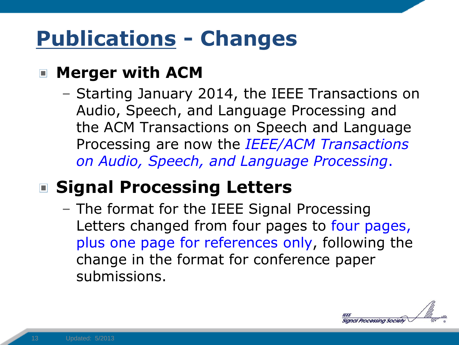## **Publications - Changes**

#### **Merger with ACM**

– Starting January 2014, the IEEE Transactions on Audio, Speech, and Language Processing and the ACM Transactions on Speech and Language Processing are now the *IEEE/ACM Transactions on Audio, Speech, and Language Processing*.

#### **Signal Processing Letters**

– The format for the IEEE Signal Processing Letters changed from four pages to four pages, plus one page for references only, following the change in the format for conference paper submissions.

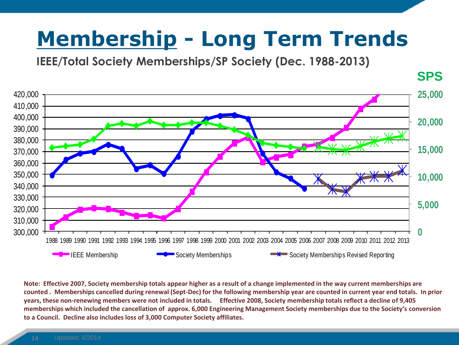# **Membership - Long Term Trends**

**IEEE/Total Society Memberships/SP Society (Dec. 1988-2013)**



**Note: Effective 2007, Society membership totals appear higher as a result of a change implemented in the way current memberships are counted . Memberships cancelled during renewal (Sept-Dec) for the following membership year are counted in current year end totals. In prior years, these non-renewing members were not included in totals. Effective 2008, Society membership totals reflect a decline of 9,405 memberships which included the cancellation of approx. 6,000 Engineering Management Society memberships due to the Society's conversion to a Council. Decline also includes loss of 3,000 Computer Society affiliates.**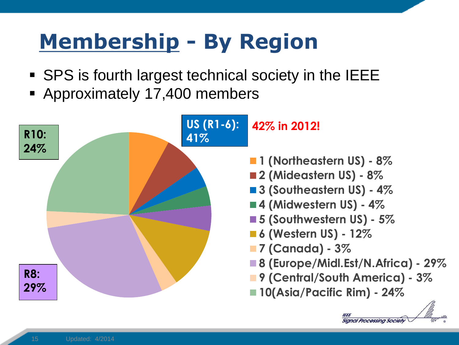# **Membership - By Region**

- SPS is fourth largest technical society in the IEEE
- **Approximately 17,400 members**

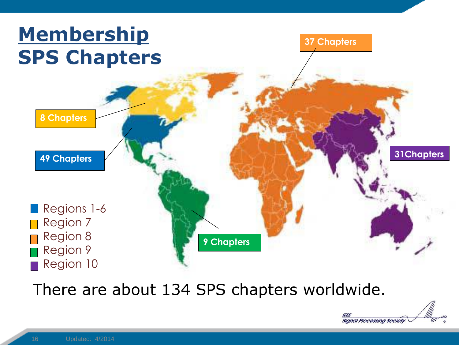

There are about 134 SPS chapters worldwide.

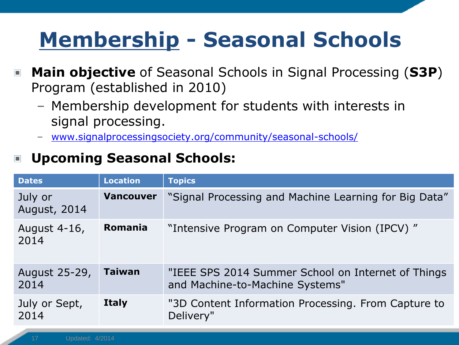# **Membership - Seasonal Schools**

- **Main objective** of Seasonal Schools in Signal Processing (**S3P**)  $\Box$ Program (established in 2010)
	- Membership development for students with interests in signal processing.
	- [www.signalprocessingsociety.org/community/seasonal-schools/](http://www.signalprocessingsociety.org/community/seasonal-schools/)

#### **Upcoming Seasonal Schools:**  $\Box$

| <b>Dates</b>                   | <b>Location</b>  | <b>Topics</b>                                                                         |
|--------------------------------|------------------|---------------------------------------------------------------------------------------|
| July or<br><b>August, 2014</b> | <b>Vancouver</b> | "Signal Processing and Machine Learning for Big Data"                                 |
| August 4-16,<br>2014           | <b>Romania</b>   | "Intensive Program on Computer Vision (IPCV)"                                         |
| August 25-29,<br>2014          | <b>Taiwan</b>    | "IEEE SPS 2014 Summer School on Internet of Things<br>and Machine-to-Machine Systems" |
| July or Sept,<br>2014          | <b>Italy</b>     | "3D Content Information Processing. From Capture to<br>Delivery"                      |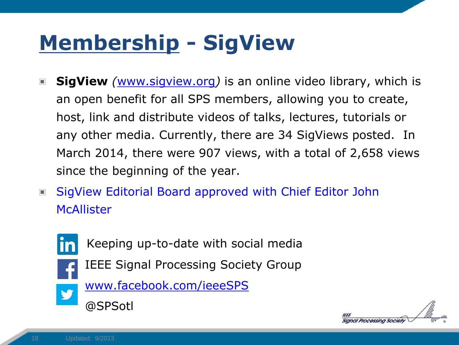# **Membership - SigView**

- **SigView** *(*[www.sigview.org](http://www.sigview.org/)*)* is an online video library, which is  $\Box$ an open benefit for all SPS members, allowing you to create, host, link and distribute videos of talks, lectures, tutorials or any other media. Currently, there are 34 SigViews posted. In March 2014, there were 907 views, with a total of 2,658 views since the beginning of the year.
- SigView Editorial Board approved with Chief Editor John  $\Box$ **McAllister**



- Keeping up-to-date with social media
- IEEE Signal Processing Society Group



[www.facebook.com/ieeeSPS](http://www.facebook.com/ieeeSPS)



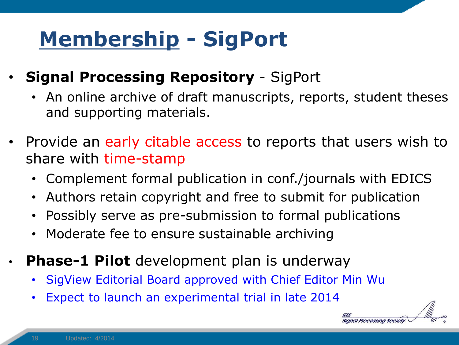# **Membership - SigPort**

- **Signal Processing Repository**  SigPort
	- An online archive of draft manuscripts, reports, student theses and supporting materials.
- Provide an early citable access to reports that users wish to share with time-stamp
	- Complement formal publication in conf./journals with EDICS
	- Authors retain copyright and free to submit for publication
	- Possibly serve as pre-submission to formal publications
	- Moderate fee to ensure sustainable archiving
	- **Phase-1 Pilot** development plan is underway
		- SigView Editorial Board approved with Chief Editor Min Wu
		- Expect to launch an experimental trial in late 2014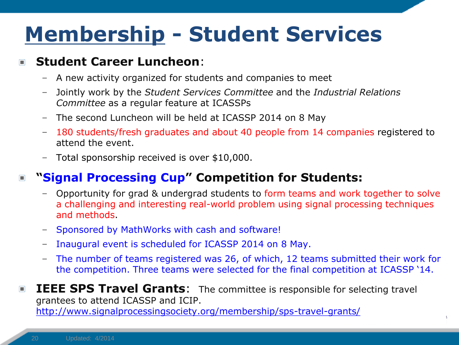# **Membership - Student Services**

#### **Student Career Luncheon**:  $\Box$

- A new activity organized for students and companies to meet
- Jointly work by the *Student Services Committee* and the *Industrial Relations Committee* as a regular feature at ICASSPs
- The second Luncheon will be held at ICASSP 2014 on 8 May
- 180 students/fresh graduates and about 40 people from 14 companies registered to attend the event.
- Total sponsorship received is over \$10,000.

#### **"Signal Processing Cup" Competition for Students:**  $\Box$

- Opportunity for grad & undergrad students to form teams and work together to solve a challenging and interesting real-world problem using signal processing techniques and methods.
- Sponsored by MathWorks with cash and software!
- Inaugural event is scheduled for ICASSP 2014 on 8 May.
- The number of teams registered was 26, of which, 12 teams submitted their work for the competition. Three teams were selected for the final competition at ICASSP '14.

**IEEE SPS Travel Grants:** The committee is responsible for selecting travel  $\blacksquare$ grantees to attend ICASSP and ICIP. <http://www.signalprocessingsociety.org/membership/sps-travel-grants/>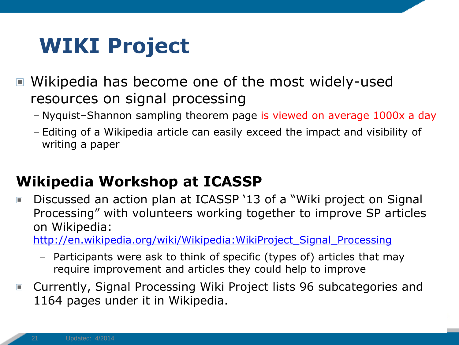## **WIKI Project**

- Wikipedia has become one of the most widely-used resources on signal processing
	- Nyquist–Shannon sampling theorem page is viewed on average 1000x a day
	- Editing of a Wikipedia article can easily exceed the impact and visibility of writing a paper

#### **Wikipedia Workshop at ICASSP**

Discussed an action plan at ICASSP '13 of a "Wiki project on Signal  $\Box$ Processing" with volunteers working together to improve SP articles on Wikipedia:

[http://en.wikipedia.org/wiki/Wikipedia:WikiProject\\_Signal\\_Processing](http://en.wikipedia.org/wiki/Wikipedia:WikiProject_Signal_Processing)

- Participants were ask to think of specific (types of) articles that may require improvement and articles they could help to improve
- Currently, Signal Processing Wiki Project lists 96 subcategories and 1164 pages under it in Wikipedia.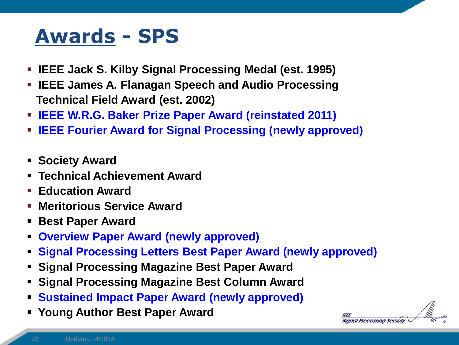### **Awards - SPS**

- **IEEE Jack S. Kilby Signal Processing Medal (est. 1995)**
- **IEEE James A. Flanagan Speech and Audio Processing Technical Field Award (est. 2002)**
- **IEEE W.R.G. Baker Prize Paper Award (reinstated 2011)**
- **IEEE Fourier Award for Signal Processing (newly approved)**
- **Society Award**
- **Technical Achievement Award**
- **Education Award**
- **Meritorious Service Award**
- **Best Paper Award**
- **Overview Paper Award (newly approved)**
- **Signal Processing Letters Best Paper Award (newly approved)**
- **Signal Processing Magazine Best Paper Award**
- **Signal Processing Magazine Best Column Award**
- **Sustained Impact Paper Award (newly approved)**
- **Young Author Best Paper Award**

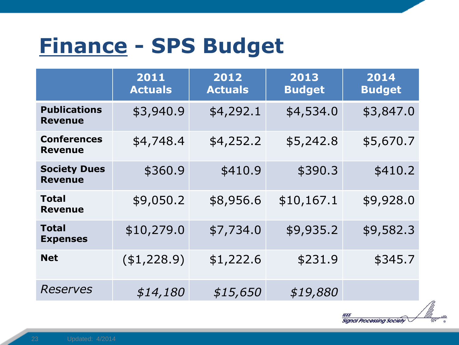## **Finance - SPS Budget**

|                                       | 2011<br><b>Actuals</b> | 2012<br><b>Actuals</b> | 2013<br><b>Budget</b> | 2014<br><b>Budget</b> |
|---------------------------------------|------------------------|------------------------|-----------------------|-----------------------|
| <b>Publications</b><br><b>Revenue</b> | \$3,940.9              | \$4,292.1              | \$4,534.0             | \$3,847.0             |
| <b>Conferences</b><br><b>Revenue</b>  | \$4,748.4              | \$4,252.2              | \$5,242.8             | \$5,670.7             |
| <b>Society Dues</b><br><b>Revenue</b> | \$360.9                | \$410.9                | \$390.3               | \$410.2               |
| <b>Total</b><br><b>Revenue</b>        | \$9,050.2              | \$8,956.6              | \$10,167.1            | \$9,928.0             |
| <b>Total</b><br><b>Expenses</b>       | \$10,279.0             | \$7,734.0              | \$9,935.2             | \$9,582.3             |
| <b>Net</b>                            | ( \$1, 228.9)          | \$1,222.6              | \$231.9               | \$345.7               |
| <b>Reserves</b>                       | \$14,180               | \$15,650               | \$19,880              |                       |

m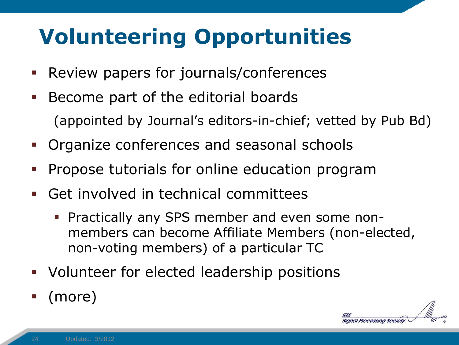# **Volunteering Opportunities**

- Review papers for journals/conferences
- **Become part of the editorial boards** (appointed by Journal's editors-in-chief; vetted by Pub Bd)
- Organize conferences and seasonal schools
- Propose tutorials for online education program
- Get involved in technical committees
	- Practically any SPS member and even some nonmembers can become Affiliate Members (non-elected, non-voting members) of a particular TC
- Volunteer for elected leadership positions
- (more)

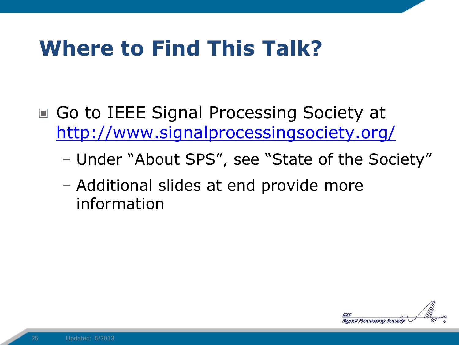## **Where to Find This Talk?**

- Go to IEEE Signal Processing Society at <http://www.signalprocessingsociety.org/>
	- Under "About SPS", see "State of the Society"
	- Additional slides at end provide more information

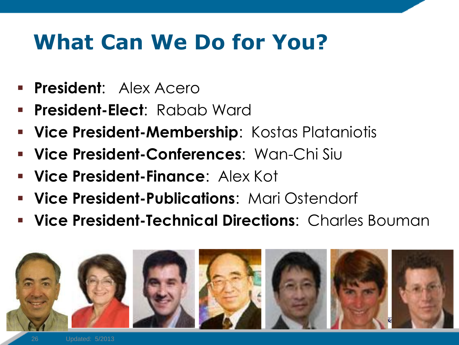## **What Can We Do for You?**

- **President**: Alex Acero
- **President-Elect**: Rabab Ward
- **Vice President-Membership**: Kostas Plataniotis
- **Vice President-Conferences**: Wan-Chi Siu
- **Vice President-Finance**: Alex Kot
- **Vice President-Publications**: Mari Ostendorf
- **Vice President-Technical Directions**: Charles Bouman

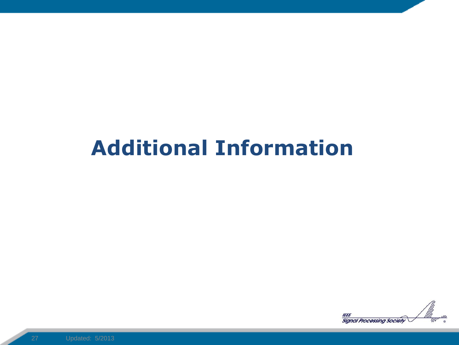### **Additional Information**

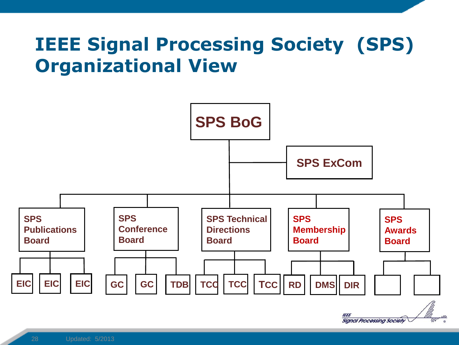#### **IEEE Signal Processing Society (SPS) Organizational View**

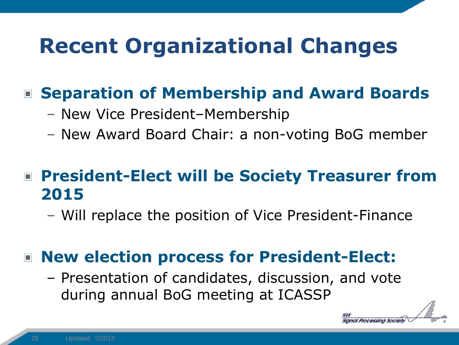## **Recent Organizational Changes**

#### **Separation of Membership and Award Boards**

- New Vice President–Membership
- New Award Board Chair: a non-voting BoG member

#### ■ President-Elect will be Society Treasurer from **2015**

– Will replace the position of Vice President-Finance

#### ■ **New election process for President-Elect:**

– Presentation of candidates, discussion, and vote during annual BoG meeting at ICASSP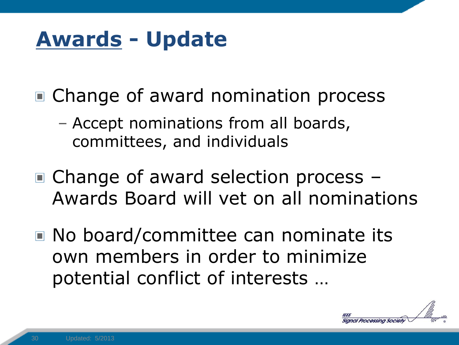## **Awards - Update**

- Change of award nomination process
	- Accept nominations from all boards, committees, and individuals
- Change of award selection process -Awards Board will vet on all nominations
- No board/committee can nominate its own members in order to minimize potential conflict of interests …

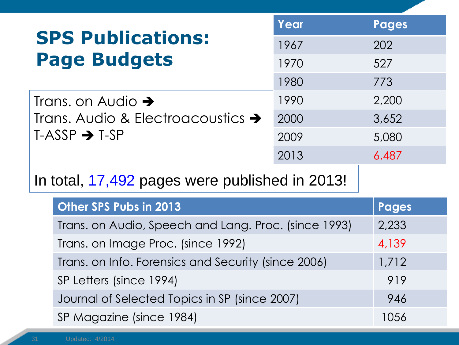|                                                | Year | <b>Pages</b> |
|------------------------------------------------|------|--------------|
| <b>SPS Publications:</b>                       | 1967 | 202          |
| <b>Page Budgets</b>                            | 1970 | 527          |
|                                                | 1980 | 773          |
| Trans. on Audio $\rightarrow$                  | 1990 | 2.200        |
| Trans. Audio & Electroacoustics $\rightarrow$  | 2000 | 3,652        |
| $T-ASSP \rightarrow T-SP$                      | 2009 | 5,080        |
|                                                | 2013 | 6,487        |
| In total, 17,492 pages were published in 2013! |      |              |
| Other SPS Pubs in 2013                         |      | Pages        |

| Trans. on Audio, Speech and Lang. Proc. (since 1993) | 2,233 |
|------------------------------------------------------|-------|
| Trans. on Image Proc. (since 1992)                   | 4,139 |
| Trans. on Info. Forensics and Security (since 2006)  | 1,712 |
| SP Letters (since 1994)                              | 919   |
| Journal of Selected Topics in SP (since 2007)        | 946   |
| SP Magazine (since 1984)                             | 1056  |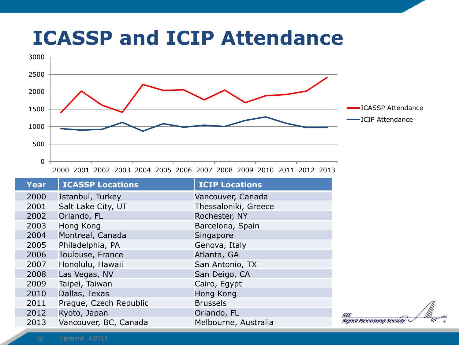#### **ICASSP and ICIP Attendance**



| <b>Year</b> | <b>ICASSP Locations</b> | <b>ICIP Locations</b> |
|-------------|-------------------------|-----------------------|
| 2000        | Istanbul, Turkey        | Vancouver, Canada     |
| 2001        | Salt Lake City, UT      | Thessaloniki, Greece  |
| 2002        | Orlando, FL             | Rochester, NY         |
| 2003        | Hong Kong               | Barcelona, Spain      |
| 2004        | Montreal, Canada        | Singapore             |
| 2005        | Philadelphia, PA        | Genova, Italy         |
| 2006        | Toulouse, France        | Atlanta, GA           |
| 2007        | Honolulu, Hawaii        | San Antonio, TX       |
| 2008        | Las Vegas, NV           | San Deigo, CA         |
| 2009        | Taipei, Taiwan          | Cairo, Egypt          |
| 2010        | Dallas, Texas           | Hong Kong             |
| 2011        | Prague, Czech Republic  | <b>Brussels</b>       |
| 2012        | Kyoto, Japan            | Orlando, FL           |
| 2013        | Vancouver, BC, Canada   | Melbourne, Australia  |

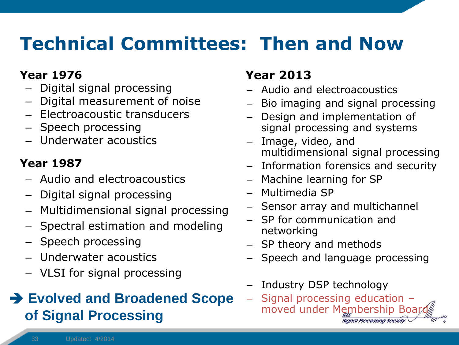#### **Technical Committees: Then and Now**

#### **Year 1976**

- Digital signal processing
- Digital measurement of noise
- Electroacoustic transducers
- Speech processing
- Underwater acoustics

#### **Year 1987**

- Audio and electroacoustics
- Digital signal processing
- Multidimensional signal processing
- Spectral estimation and modeling
- Speech processing
- Underwater acoustics
- VLSI for signal processing

#### **→ Evolved and Broadened Scope of Signal Processing**

#### **Year 2013**

- Audio and electroacoustics
- Bio imaging and signal processing
- Design and implementation of signal processing and systems
- Image, video, and multidimensional signal processing
- Information forensics and security
- Machine learning for SP
- Multimedia SP
- Sensor array and multichannel
- SP for communication and networking
- SP theory and methods
- Speech and language processing
- Industry DSP technology
- Signal processing education moved under Membership Boar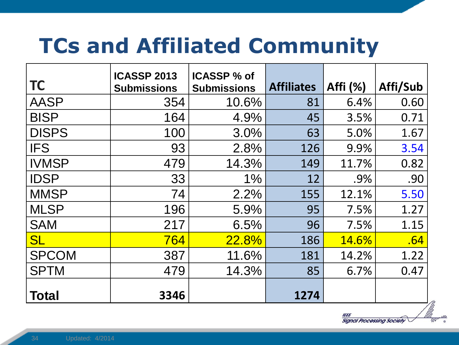## **TCs and Affiliated Community**

| <b>TC</b>    | <b>ICASSP 2013</b><br><b>Submissions</b> | <b>ICASSP % of</b><br><b>Submissions</b> | <b>Affiliates</b> | Affi (%)     | Affi/Sub |
|--------------|------------------------------------------|------------------------------------------|-------------------|--------------|----------|
| <b>AASP</b>  | 354                                      | 10.6%                                    | 81                | 6.4%         | 0.60     |
| <b>BISP</b>  | 164                                      | 4.9%                                     | 45                | 3.5%         | 0.71     |
| <b>DISPS</b> | 100                                      | 3.0%                                     | 63                | 5.0%         | 1.67     |
| <b>IFS</b>   | 93                                       | 2.8%                                     | 126               | 9.9%         | 3.54     |
| <b>IVMSP</b> | 479                                      | 14.3%                                    | 149               | 11.7%        | 0.82     |
| <b>IDSP</b>  | 33                                       | 1%                                       | 12                | .9%          | .90      |
| <b>MMSP</b>  | 74                                       | 2.2%                                     | 155               | 12.1%        | 5.50     |
| <b>MLSP</b>  | 196                                      | 5.9%                                     | 95                | 7.5%         | 1.27     |
| <b>SAM</b>   | 217                                      | 6.5%                                     | 96                | 7.5%         | 1.15     |
| <b>SL</b>    | 764                                      | 22.8%                                    | 186               | <b>14.6%</b> | .64      |
| <b>SPCOM</b> | 387                                      | 11.6%                                    | 181               | 14.2%        | 1.22     |
| <b>SPTM</b>  | 479                                      | 14.3%                                    | 85                | 6.7%         | 0.47     |
| <b>Total</b> | 3346                                     |                                          | 1274              |              |          |

1555 **Signal Processing Society**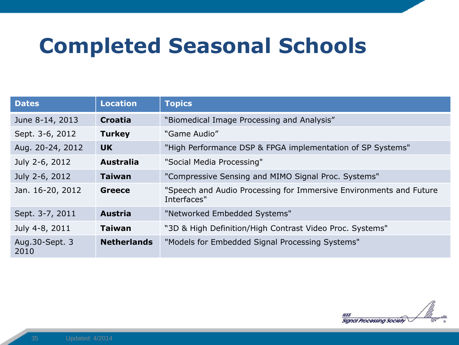### **Completed Seasonal Schools**

| <b>Dates</b>            | <b>Location</b>    | <b>Topics</b>                                                                     |
|-------------------------|--------------------|-----------------------------------------------------------------------------------|
| June 8-14, 2013         | <b>Croatia</b>     | "Biomedical Image Processing and Analysis"                                        |
| Sept. 3-6, 2012         | <b>Turkey</b>      | "Game Audio"                                                                      |
| Aug. 20-24, 2012        | <b>UK</b>          | "High Performance DSP & FPGA implementation of SP Systems"                        |
| July 2-6, 2012          | <b>Australia</b>   | "Social Media Processing"                                                         |
| July 2-6, 2012          | <b>Taiwan</b>      | "Compressive Sensing and MIMO Signal Proc. Systems"                               |
| Jan. 16-20, 2012        | <b>Greece</b>      | "Speech and Audio Processing for Immersive Environments and Future<br>Interfaces" |
| Sept. 3-7, 2011         | <b>Austria</b>     | "Networked Embedded Systems"                                                      |
| July 4-8, 2011          | <b>Taiwan</b>      | "3D & High Definition/High Contrast Video Proc. Systems"                          |
| Aug. 30-Sept. 3<br>2010 | <b>Netherlands</b> | "Models for Embedded Signal Processing Systems"                                   |

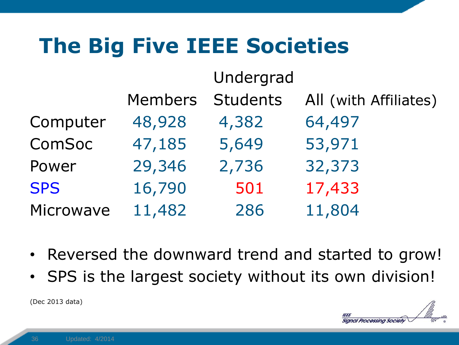## **The Big Five IEEE Societies**

|            |                | Undergrad       |                       |
|------------|----------------|-----------------|-----------------------|
|            | <b>Members</b> | <b>Students</b> | All (with Affiliates) |
| Computer   | 48,928         | 4,382           | 64,497                |
| ComSoc     | 47,185         | 5,649           | 53,971                |
| Power      | 29,346         | 2,736           | 32,373                |
| <b>SPS</b> | 16,790         | 501             | 17,433                |
| Microwave  | 11,482         | 286             | 11,804                |

- Reversed the downward trend and started to grow!
- SPS is the largest society without its own division!

(Dec 2013 data)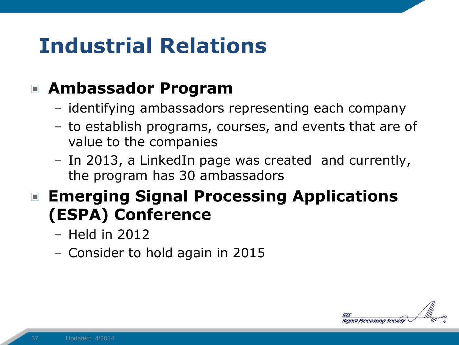## **Industrial Relations**

#### **Ambassador Program**

- identifying ambassadors representing each company
- to establish programs, courses, and events that are of value to the companies
- In 2013, a LinkedIn page was created and currently, the program has 30 ambassadors

#### **Emerging Signal Processing Applications (ESPA) Conference**

- Held in 2012
- Consider to hold again in 2015

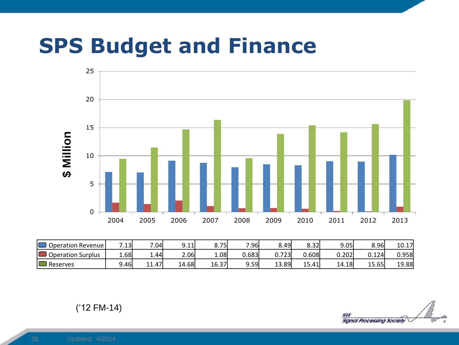#### **SPS Budget and Finance**



| Operation Revenue      | .13   | .04             | 9.11  | 75)   | 7.96   | 8.49        | 8.32   | 9.05   | 8.96  | 10.17 |
|------------------------|-------|-----------------|-------|-------|--------|-------------|--------|--------|-------|-------|
| Operation<br>ı Surplus | 1.68  | 1.44            | 2.06  | 1.08  | J.683l | ובכד<br>ر ے | 0.6081 | 0.202  | 0.124 | 0.958 |
| Reserves               | 9.46l | ا47.<br>11<br>. | 14.68 | 16.37 | 9.59   | 13.89       | 15.41  | 14.18l | 15.65 | 19.88 |

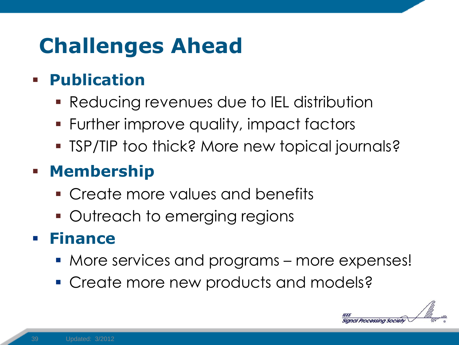## **Challenges Ahead**

#### **Publication**

- Reducing revenues due to IEL distribution
- Further improve quality, impact factors
- **TSP/TIP too thick? More new topical journals?**

#### **- Membership**

- Create more values and benefits
- **Outreach to emerging regions**

#### **Finance**

- More services and programs more expenses!
- **Create more new products and models?**

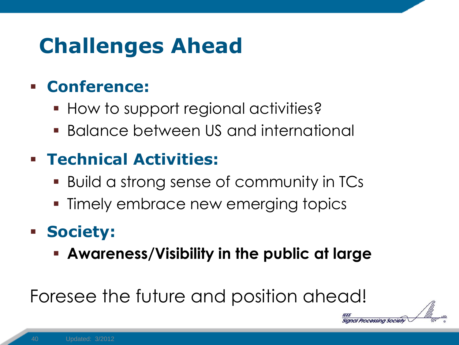## **Challenges Ahead**

#### **Conference:**

- **How to support regional activities?**
- **Balance between US and international**

#### **Technical Activities:**

- Build a strong sense of community in TCs
- **Timely embrace new emerging topics**

#### **Society:**

**Awareness/Visibility in the public at large**

Processing Society

#### Foresee the future and position ahead!